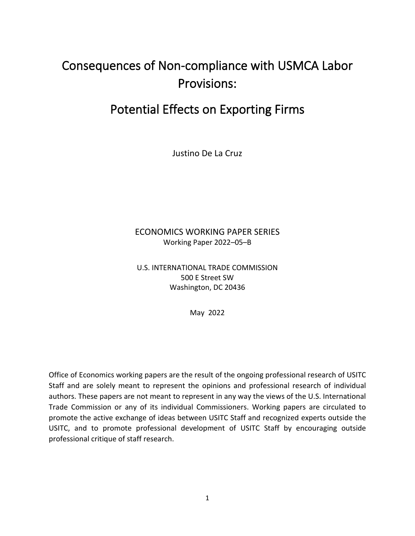# Consequences of Non-compliance with USMCA Labor Provisions:

# Potential Effects on Exporting Firms

Justino De La Cruz

## ECONOMICS WORKING PAPER SERIES Working Paper 2022–05–B

U.S. INTERNATIONAL TRADE COMMISSION 500 E Street SW Washington, DC 20436

May 2022

Office of Economics working papers are the result of the ongoing professional research of USITC Staff and are solely meant to represent the opinions and professional research of individual authors. These papers are not meant to represent in any way the views of the U.S. International Trade Commission or any of its individual Commissioners. Working papers are circulated to promote the active exchange of ideas between USITC Staff and recognized experts outside the USITC, and to promote professional development of USITC Staff by encouraging outside professional critique of staff research.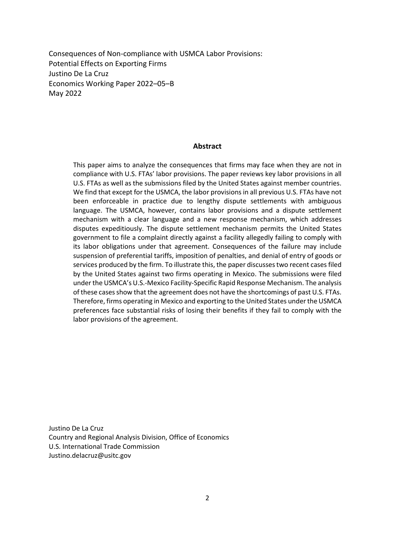Consequences of Non-compliance with USMCA Labor Provisions: Potential Effects on Exporting Firms Justino De La Cruz Economics Working Paper 2022–05–B May 2022

#### **Abstract**

This paper aims to analyze the consequences that firms may face when they are not in compliance with U.S. FTAs' labor provisions. The paper reviews key labor provisions in all U.S. FTAs as well as the submissions filed by the United States against member countries. We find that except for the USMCA, the labor provisions in all previous U.S. FTAs have not been enforceable in practice due to lengthy dispute settlements with ambiguous language. The USMCA, however, contains labor provisions and a dispute settlement mechanism with a clear language and a new response mechanism, which addresses disputes expeditiously. The dispute settlement mechanism permits the United States government to file a complaint directly against a facility allegedly failing to comply with its labor obligations under that agreement. Consequences of the failure may include suspension of preferential tariffs, imposition of penalties, and denial of entry of goods or services produced by the firm. To illustrate this, the paper discusses two recent cases filed by the United States against two firms operating in Mexico. The submissions were filed under the USMCA's U.S.-Mexico Facility-Specific Rapid Response Mechanism. The analysis of these cases show that the agreement does not have the shortcomings of past U.S. FTAs. Therefore, firms operating in Mexico and exporting to the United States under the USMCA preferences face substantial risks of losing their benefits if they fail to comply with the labor provisions of the agreement.

Justino De La Cruz Country and Regional Analysis Division, Office of Economics U.S. International Trade Commission Justino.delacruz@usitc.gov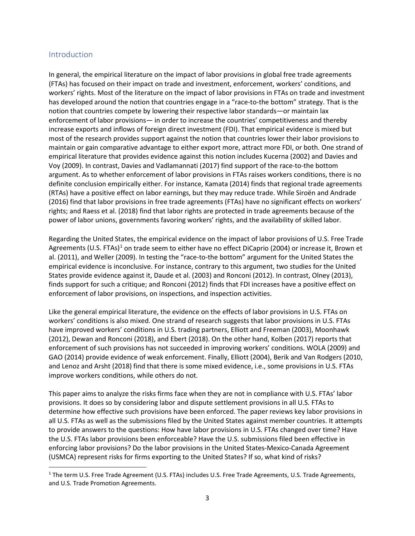#### Introduction

In general, the empirical literature on the impact of labor provisions in global free trade agreements (FTAs) has focused on their impact on trade and investment, enforcement, workers' conditions, and workers' rights. Most of the literature on the impact of labor provisions in FTAs on trade and investment has developed around the notion that countries engage in a "race-to-the bottom" strategy. That is the notion that countries compete by lowering their respective labor standards—or maintain lax enforcement of labor provisions— in order to increase the countries' competitiveness and thereby increase exports and inflows of foreign direct investment (FDI). That empirical evidence is mixed but most of the research provides support against the notion that countries lower their labor provisions to maintain or gain comparative advantage to either export more, attract more FDI, or both. One strand of empirical literature that provides evidence against this notion includes Kucerna (2002) and Davies and Voy (2009). In contrast, Davies and Vadlamannati (2017) find support of the race-to-the bottom argument. As to whether enforcement of labor provisions in FTAs raises workers conditions, there is no definite conclusion empirically either. For instance, Kamata (2014) finds that regional trade agreements (RTAs) have a positive effect on labor earnings, but they may reduce trade. While Siroën and Andrade (2016) find that labor provisions in free trade agreements (FTAs) have no significant effects on workers' rights; and Raess et al. (2018) find that labor rights are protected in trade agreements because of the power of labor unions, governments favoring workers' rights, and the availability of skilled labor.

Regarding the United States, the empirical evidence on the impact of labor provisions of U.S. Free Trade Agreements (U.S. FTAs)<sup>[1](#page-2-0)</sup> on trade seem to either have no effect DiCaprio (2004) or increase it, Brown et al. (2011), and Weller (2009). In testing the "race-to-the bottom" argument for the United States the empirical evidence is inconclusive. For instance, contrary to this argument, two studies for the United States provide evidence against it, Daude et al. (2003) and Ronconi (2012). In contrast, Olney (2013), finds support for such a critique; and Ronconi (2012) finds that FDI increases have a positive effect on enforcement of labor provisions, on inspections, and inspection activities.

Like the general empirical literature, the evidence on the effects of labor provisions in U.S. FTAs on workers' conditions is also mixed. One strand of research suggests that labor provisions in U.S. FTAs have improved workers' conditions in U.S. trading partners, Elliott and Freeman (2003), Moonhawk (2012), Dewan and Ronconi (2018), and Ebert (2018). On the other hand, Kolben (2017) reports that enforcement of such provisions has not succeeded in improving workers' conditions. WOLA (2009) and GAO (2014) provide evidence of weak enforcement. Finally, Elliott (2004), Berik and Van Rodgers (2010, and Lenoz and Arsht (2018) find that there is some mixed evidence, i.e., some provisions in U.S. FTAs improve workers conditions, while others do not.

This paper aims to analyze the risks firms face when they are not in compliance with U.S. FTAs' labor provisions. It does so by considering labor and dispute settlement provisions in all U.S. FTAs to determine how effective such provisions have been enforced. The paper reviews key labor provisions in all U.S. FTAs as well as the submissions filed by the United States against member countries. It attempts to provide answers to the questions: How have labor provisions in U.S. FTAs changed over time? Have the U.S. FTAs labor provisions been enforceable? Have the U.S. submissions filed been effective in enforcing labor provisions? Do the labor provisions in the United States-Mexico-Canada Agreement (USMCA) represent risks for firms exporting to the United States? If so, what kind of risks?

<span id="page-2-0"></span><sup>1</sup> The term U.S. Free Trade Agreement (U.S. FTAs) includes U.S. Free Trade Agreements, U.S. Trade Agreements, and U.S. Trade Promotion Agreements.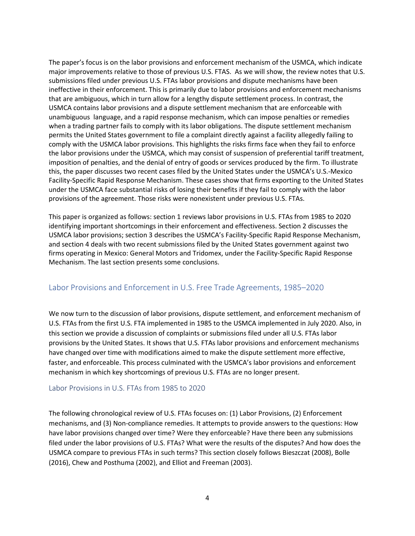The paper's focus is on the labor provisions and enforcement mechanism of the USMCA, which indicate major improvements relative to those of previous U.S. FTAS. As we will show, the review notes that U.S. submissions filed under previous U.S. FTAs labor provisions and dispute mechanisms have been ineffective in their enforcement. This is primarily due to labor provisions and enforcement mechanisms that are ambiguous, which in turn allow for a lengthy dispute settlement process. In contrast, the USMCA contains labor provisions and a dispute settlement mechanism that are enforceable with unambiguous language, and a rapid response mechanism, which can impose penalties or remedies when a trading partner fails to comply with its labor obligations. The dispute settlement mechanism permits the United States government to file a complaint directly against a facility allegedly failing to comply with the USMCA labor provisions. This highlights the risks firms face when they fail to enforce the labor provisions under the USMCA, which may consist of suspension of preferential tariff treatment, imposition of penalties, and the denial of entry of goods or services produced by the firm. To illustrate this, the paper discusses two recent cases filed by the United States under the USMCA's U.S.-Mexico Facility-Specific Rapid Response Mechanism. These cases show that firms exporting to the United States under the USMCA face substantial risks of losing their benefits if they fail to comply with the labor provisions of the agreement. Those risks were nonexistent under previous U.S. FTAs.

This paper is organized as follows: section 1 reviews labor provisions in U.S. FTAs from 1985 to 2020 identifying important shortcomings in their enforcement and effectiveness. Section 2 discusses the USMCA labor provisions; section 3 describes the USMCA's Facility-Specific Rapid Response Mechanism, and section 4 deals with two recent submissions filed by the United States government against two firms operating in Mexico: General Motors and Tridomex, under the Facility-Specific Rapid Response Mechanism. The last section presents some conclusions.

#### Labor Provisions and Enforcement in U.S. Free Trade Agreements, 1985–2020

We now turn to the discussion of labor provisions, dispute settlement, and enforcement mechanism of U.S. FTAs from the first U.S. FTA implemented in 1985 to the USMCA implemented in July 2020. Also, in this section we provide a discussion of complaints or submissions filed under all U.S. FTAs labor provisions by the United States. It shows that U.S. FTAs labor provisions and enforcement mechanisms have changed over time with modifications aimed to make the dispute settlement more effective, faster, and enforceable. This process culminated with the USMCA's labor provisions and enforcement mechanism in which key shortcomings of previous U.S. FTAs are no longer present.

#### Labor Provisions in U.S. FTAs from 1985 to 2020

The following chronological review of U.S. FTAs focuses on: (1) Labor Provisions, (2) Enforcement mechanisms, and (3) Non-compliance remedies. It attempts to provide answers to the questions: How have labor provisions changed over time? Were they enforceable? Have there been any submissions filed under the labor provisions of U.S. FTAs? What were the results of the disputes? And how does the USMCA compare to previous FTAs in such terms? This section closely follows Bieszczat (2008), Bolle (2016), Chew and Posthuma (2002), and Elliot and Freeman (2003).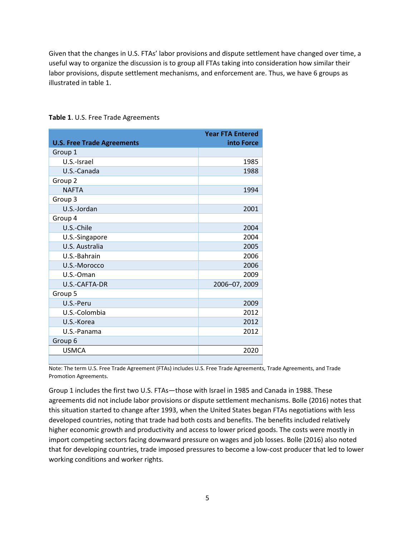Given that the changes in U.S. FTAs' labor provisions and dispute settlement have changed over time, a useful way to organize the discussion is to group all FTAs taking into consideration how similar their labor provisions, dispute settlement mechanisms, and enforcement are. Thus, we have 6 groups as illustrated in table 1.

| <b>U.S. Free Trade Agreements</b> | <b>Year FTA Entered</b><br>into Force |
|-----------------------------------|---------------------------------------|
| Group 1                           |                                       |
| U.S.-Israel                       | 1985                                  |
| U.S.-Canada                       | 1988                                  |
| Group 2                           |                                       |
| <b>NAFTA</b>                      | 1994                                  |
| Group 3                           |                                       |
| U.S.-Jordan                       | 2001                                  |
| Group 4                           |                                       |
| U.S.-Chile                        | 2004                                  |
| U.S.-Singapore                    | 2004                                  |
| U.S. Australia                    | 2005                                  |
| U.S.-Bahrain                      | 2006                                  |
| U.S.-Morocco                      | 2006                                  |
| U.S.-Oman                         | 2009                                  |
| U.S.-CAFTA-DR                     | 2006-07, 2009                         |
| Group 5                           |                                       |
| U.S.-Peru                         | 2009                                  |
| U.S.-Colombia                     | 2012                                  |
| U.S.-Korea                        | 2012                                  |
| U.S.-Panama                       | 2012                                  |
| Group 6                           |                                       |
| <b>USMCA</b>                      | 2020                                  |
|                                   |                                       |

**Table 1**. U.S. Free Trade Agreements

Note: The term U.S. Free Trade Agreement (FTAs) includes U.S. Free Trade Agreements, Trade Agreements, and Trade Promotion Agreements.

Group 1 includes the first two U.S. FTAs—those with Israel in 1985 and Canada in 1988. These agreements did not include labor provisions or dispute settlement mechanisms. Bolle (2016) notes that this situation started to change after 1993, when the United States began FTAs negotiations with less developed countries, noting that trade had both costs and benefits. The benefits included relatively higher economic growth and productivity and access to lower priced goods. The costs were mostly in import competing sectors facing downward pressure on wages and job losses. Bolle (2016) also noted that for developing countries, trade imposed pressures to become a low-cost producer that led to lower working conditions and worker rights.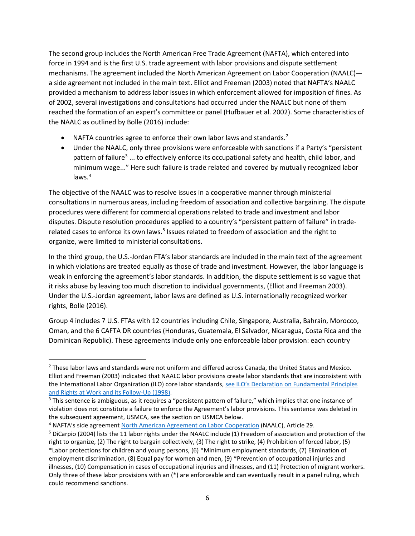The second group includes the North American Free Trade Agreement (NAFTA), which entered into force in 1994 and is the first U.S. trade agreement with labor provisions and dispute settlement mechanisms. The agreement included the North American Agreement on Labor Cooperation (NAALC) a side agreement not included in the main text. Elliot and Freeman (2003) noted that NAFTA's NAALC provided a mechanism to address labor issues in which enforcement allowed for imposition of fines. As of 2002, several investigations and consultations had occurred under the NAALC but none of them reached the formation of an expert's committee or panel (Hufbauer et al. 2002). Some characteristics of the NAALC as outlined by Bolle (2016) include:

- NAFTA countries agree to enforce their own labor laws and standards. $2$
- Under the NAALC, only three provisions were enforceable with sanctions if a Party's "persistent pattern of failure<sup>[3](#page-5-1)</sup> ... to effectively enforce its occupational safety and health, child labor, and minimum wage..." Here such failure is trade related and covered by mutually recognized labor laws. [4](#page-5-2)

The objective of the NAALC was to resolve issues in a cooperative manner through ministerial consultations in numerous areas, including freedom of association and collective bargaining. The dispute procedures were different for commercial operations related to trade and investment and labor disputes. Dispute resolution procedures applied to a country's "persistent pattern of failure" in trade-related cases to enforce its own laws.<sup>[5](#page-5-3)</sup> Issues related to freedom of association and the right to organize, were limited to ministerial consultations.

In the third group, the U.S.-Jordan FTA's labor standards are included in the main text of the agreement in which violations are treated equally as those of trade and investment. However, the labor language is weak in enforcing the agreement's labor standards. In addition, the dispute settlement is so vague that it risks abuse by leaving too much discretion to individual governments, (Elliot and Freeman 2003). Under the U.S.-Jordan agreement, labor laws are defined as U.S. internationally recognized worker rights, Bolle (2016).

Group 4 includes 7 U.S. FTAs with 12 countries including Chile, Singapore, Australia, Bahrain, Morocco, Oman, and the 6 CAFTA DR countries (Honduras, Guatemala, El Salvador, Nicaragua, Costa Rica and the Dominican Republic). These agreements include only one enforceable labor provision: each country

<span id="page-5-0"></span><sup>&</sup>lt;sup>2</sup> These labor laws and standards were not uniform and differed across Canada, the United States and Mexico. Elliot and Freeman (2003) indicated that NAALC labor provisions create labor standards that are inconsistent with the International Labor Organization (ILO) core labor standards[, see ILO's Declaration on Fundamental Principles](https://www.ilo.org/declaration/thedeclaration/textdeclaration/lang--en/index.htm)  [and Rights at Work and its Follow-Up \(1998\).](https://www.ilo.org/declaration/thedeclaration/textdeclaration/lang--en/index.htm)<br><sup>3</sup> This sentence is ambiguous, as it requires a "persistent pattern of failure," which implies that one instance of

<span id="page-5-1"></span>violation does not constitute a failure to enforce the Agreement's labor provisions. This sentence was deleted in the subsequent agreement, USMCA, see the section on USMCA below.<br><sup>4</sup> NAFTA's side agreement [North American Agreement on Labor Cooperation \(](https://www.dol.gov/agencies/ilab/naalc)NAALC), Article 29.

<span id="page-5-2"></span>

<span id="page-5-3"></span><sup>&</sup>lt;sup>5</sup> DiCarpio (2004) lists the 11 labor rights under the NAALC include (1) Freedom of association and protection of the right to organize, (2) The right to bargain collectively, (3) The right to strike, (4) Prohibition of forced labor, (5)

<sup>\*</sup>Labor protections for children and young persons, (6) \*Minimum employment standards, (7) Elimination of employment discrimination, (8) Equal pay for women and men, (9) \*Prevention of occupational injuries and illnesses, (10) Compensation in cases of occupational injuries and illnesses, and (11) Protection of migrant workers. Only three of these labor provisions with an (\*) are enforceable and can eventually result in a panel ruling, which could recommend sanctions.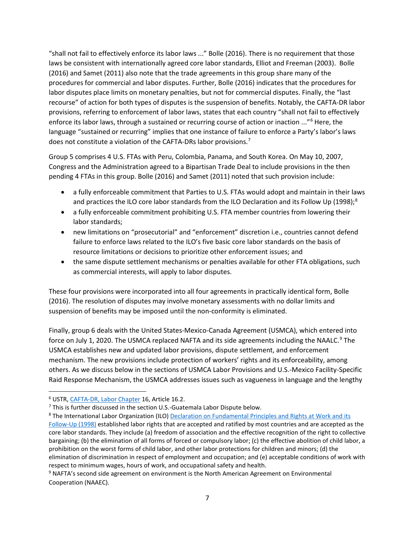"shall not fail to effectively enforce its labor laws ..." Bolle (2016). There is no requirement that those laws be consistent with internationally agreed core labor standards, Elliot and Freeman (2003). Bolle (2016) and Samet (2011) also note that the trade agreements in this group share many of the procedures for commercial and labor disputes. Further, Bolle (2016) indicates that the procedures for labor disputes place limits on monetary penalties, but not for commercial disputes. Finally, the "last recourse" of action for both types of disputes is the suspension of benefits. Notably, the CAFTA-DR labor provisions, referring to enforcement of labor laws, states that each country "shall not fail to effectively enforce its labor laws, through a sustained or recurring course of action or inaction ..."<sup>[6](#page-6-0)</sup> Here, the language "sustained or recurring" implies that one instance of failure to enforce a Party's labor's laws does not constitute a violation of the CAFTA-DRs labor provisions.<sup>[7](#page-6-1)</sup>

Group 5 comprises 4 U.S. FTAs with Peru, Colombia, Panama, and South Korea. On May 10, 2007, Congress and the Administration agreed to a Bipartisan Trade Deal to include provisions in the then pending 4 FTAs in this group. Bolle (2016) and Samet (2011) noted that such provision include:

- a fully enforceable commitment that Parties to U.S. FTAs would adopt and maintain in their laws and practices the ILO core labor standards from the ILO Declaration and its Follow Up (199[8](#page-6-2));<sup>8</sup>
- a fully enforceable commitment prohibiting U.S. FTA member countries from lowering their labor standards;
- new limitations on "prosecutorial" and "enforcement" discretion i.e., countries cannot defend failure to enforce laws related to the ILO's five basic core labor standards on the basis of resource limitations or decisions to prioritize other enforcement issues; and
- the same dispute settlement mechanisms or penalties available for other FTA obligations, such as commercial interests, will apply to labor disputes.

These four provisions were incorporated into all four agreements in practically identical form, Bolle (2016). The resolution of disputes may involve monetary assessments with no dollar limits and suspension of benefits may be imposed until the non-conformity is eliminated.

Finally, group 6 deals with the United States-Mexico-Canada Agreement (USMCA), which entered into force on July 1, 2020. The USMCA replaced NAFTA and its side agreements including the NAALC.<sup>[9](#page-6-3)</sup> The USMCA establishes new and updated labor provisions, dispute settlement, and enforcement mechanism. The new provisions include protection of workers' rights and its enforceability, among others. As we discuss below in the sections of USMCA Labor Provisions and U.S.-Mexico Facility-Specific Raid Response Mechanism, the USMCA addresses issues such as vagueness in language and the lengthy

<span id="page-6-0"></span><sup>6</sup> USTR[, CAFTA-DR, Labor Chapter](https://ustr.gov/trade-agreements/free-trade-agreements/cafta-dr-dominican-republic-central-america-fta/final-text) 16, Article 16.2.

<span id="page-6-1"></span> $7$  This is further discussed in the section U.S.-Guatemala Labor Dispute below.

<span id="page-6-2"></span><sup>&</sup>lt;sup>8</sup> The International Labor Organization (ILO) Declaration on Fundamental Principles and Rights at Work and its [Follow-Up \(1998\)](https://www.ilo.org/declaration/thedeclaration/textdeclaration/lang--en/index.htm) established labor rights that are accepted and ratified by most countries and are accepted as the core labor standards. They include (a) freedom of association and the effective recognition of the right to collective bargaining; (b) the elimination of all forms of forced or compulsory labor; (c) the effective abolition of child labor, a prohibition on the worst forms of child labor, and other labor protections for children and minors; (d) the elimination of discrimination in respect of employment and occupation; and (e) acceptable conditions of work with respect to minimum wages, hours of work, and occupational safety and health.

<span id="page-6-3"></span><sup>&</sup>lt;sup>9</sup> NAFTA's second side agreement on environment is the North American Agreement on Environmental Cooperation (NAAEC).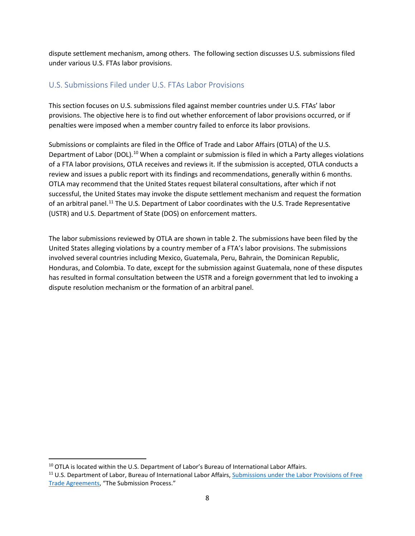dispute settlement mechanism, among others. The following section discusses U.S. submissions filed under various U.S. FTAs labor provisions.

## U.S. Submissions Filed under U.S. FTAs Labor Provisions

This section focuses on U.S. submissions filed against member countries under U.S. FTAs' labor provisions. The objective here is to find out whether enforcement of labor provisions occurred, or if penalties were imposed when a member country failed to enforce its labor provisions.

Submissions or complaints are filed in the Office of Trade and Labor Affairs (OTLA) of the U.S. Department of Labor (DOL).<sup>[10](#page-7-0)</sup> When a complaint or submission is filed in which a Party alleges violations of a FTA labor provisions, OTLA receives and reviews it. If the submission is accepted, OTLA conducts a review and issues a public report with its findings and recommendations, generally within 6 months. OTLA may recommend that the United States request bilateral consultations, after which if not successful, the United States may invoke the dispute settlement mechanism and request the formation of an arbitral panel.<sup>[11](#page-7-1)</sup> The U.S. Department of Labor coordinates with the U.S. Trade Representative (USTR) and U.S. Department of State (DOS) on enforcement matters.

The labor submissions reviewed by OTLA are shown in table 2. The submissions have been filed by the United States alleging violations by a country member of a FTA's labor provisions. The submissions involved several countries including Mexico, Guatemala, Peru, Bahrain, the Dominican Republic, Honduras, and Colombia. To date, except for the submission against Guatemala, none of these disputes has resulted in formal consultation between the USTR and a foreign government that led to invoking a dispute resolution mechanism or the formation of an arbitral panel.

<span id="page-7-1"></span><span id="page-7-0"></span><sup>&</sup>lt;sup>10</sup> OTLA is located within the U.S. Department of Labor's Bureau of International Labor Affairs.<br><sup>11</sup> U.S. Department of Labor, Bureau of International Labor Affairs, Submissions under the Labor Provisions of Free [Trade Agreements,](https://www.dol.gov/agencies/ilab/our-work/trade/fta-submissions) "The Submission Process."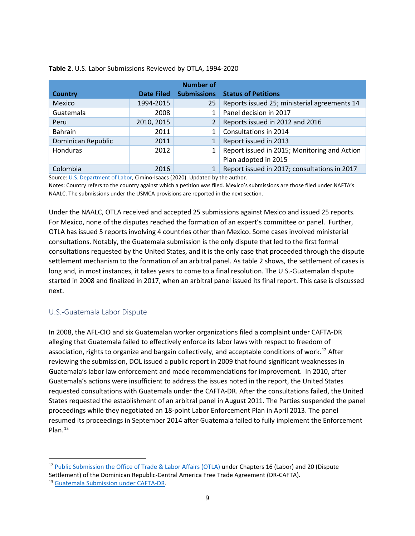| <b>Number of</b>   |                   |                    |                                              |
|--------------------|-------------------|--------------------|----------------------------------------------|
| <b>Country</b>     | <b>Date Filed</b> | <b>Submissions</b> | <b>Status of Petitions</b>                   |
| Mexico             | 1994-2015         | 25                 | Reports issued 25; ministerial agreements 14 |
| Guatemala          | 2008              |                    | Panel decision in 2017                       |
| Peru               | 2010, 2015        |                    | Reports issued in 2012 and 2016              |
| Bahrain            | 2011              |                    | Consultations in 2014                        |
| Dominican Republic | 2011              |                    | Report issued in 2013                        |
| Honduras           | 2012              |                    | Report issued in 2015; Monitoring and Action |
|                    |                   |                    | Plan adopted in 2015                         |
| Colombia           | 2016              |                    | Report issued in 2017; consultations in 2017 |

#### **Table 2**. U.S. Labor Submissions Reviewed by OTLA, 1994-2020

Source[: U.S. Department of Labor,](https://www.dol.gov/agencies/ilab/our-work/trade/fta-submissions) Cimino-Isaacs (2020). Updated by the author.

Notes: Country refers to the country against which a petition was filed. Mexico's submissions are those filed under NAFTA's NAALC. The submissions under the USMCA provisions are reported in the next section.

Under the NAALC, OTLA received and accepted 25 submissions against Mexico and issued 25 reports. For Mexico, none of the disputes reached the formation of an expert's committee or panel. Further, OTLA has issued 5 reports involving 4 countries other than Mexico. Some cases involved ministerial consultations. Notably, the Guatemala submission is the only dispute that led to the first formal consultations requested by the United States, and it is the only case that proceeded through the dispute settlement mechanism to the formation of an arbitral panel. As table 2 shows, the settlement of cases is long and, in most instances, it takes years to come to a final resolution. The U.S.-Guatemalan dispute started in 2008 and finalized in 2017, when an arbitral panel issued its final report. This case is discussed next.

#### U.S.-Guatemala Labor Dispute

In 2008, the AFL-CIO and six Guatemalan worker organizations filed a complaint under CAFTA-DR alleging that Guatemala failed to effectively enforce its labor laws with respect to freedom of association, rights to organize and bargain collectively, and acceptable conditions of work.<sup>[12](#page-8-0)</sup> After reviewing the submission, DOL issued a public report in 2009 that found significant weaknesses in Guatemala's labor law enforcement and made recommendations for improvement. In 2010, after Guatemala's actions were insufficient to address the issues noted in the report, the United States requested consultations with Guatemala under the CAFTA-DR. After the consultations failed, the United States requested the establishment of an arbitral panel in August 2011. The Parties suspended the panel proceedings while they negotiated an 18-point Labor Enforcement Plan in April 2013. The panel resumed its proceedings in September 2014 after Guatemala failed to fully implement the Enforcement Plan.<sup>13</sup>

<span id="page-8-1"></span><span id="page-8-0"></span><sup>12</sup> [Public Submission the Office of Trade & Labor Affairs \(OTLA\)](https://www.dol.gov/sites/dolgov/files/ILAB/legacy/files/GuatemalaSub.pdf) under Chapters 16 (Labor) and 20 (Dispute Settlement) of the Dominican Republic-Central America Free Trade Agreement (DR-CAFTA). 13 [Guatemala Submission under CAFTA-DR.](https://www.dol.gov/agencies/ilab/our-work/trade/fta-submissions)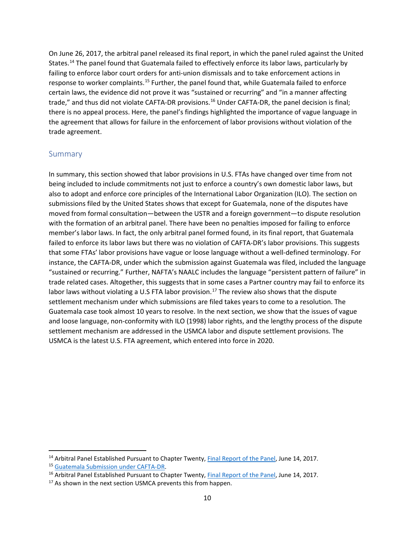On June 26, 2017, the arbitral panel released its final report, in which the panel ruled against the United States.<sup>[14](#page-9-0)</sup> The panel found that Guatemala failed to effectively enforce its labor laws, particularly by failing to enforce labor court orders for anti-union dismissals and to take enforcement actions in response to worker complaints.<sup>[15](#page-9-1)</sup> Further, the panel found that, while Guatemala failed to enforce certain laws, the evidence did not prove it was "sustained or recurring" and "in a manner affecting trade," and thus did not violate CAFTA-DR provisions. [16](#page-9-2) Under CAFTA-DR, the panel decision is final; there is no appeal process. Here, the panel's findings highlighted the importance of vague language in the agreement that allows for failure in the enforcement of labor provisions without violation of the trade agreement.

#### Summary

In summary, this section showed that labor provisions in U.S. FTAs have changed over time from not being included to include commitments not just to enforce a country's own domestic labor laws, but also to adopt and enforce core principles of the International Labor Organization (ILO). The section on submissions filed by the United States shows that except for Guatemala, none of the disputes have moved from formal consultation—between the USTR and a foreign government—to dispute resolution with the formation of an arbitral panel. There have been no penalties imposed for failing to enforce member's labor laws. In fact, the only arbitral panel formed found, in its final report, that Guatemala failed to enforce its labor laws but there was no violation of CAFTA-DR's labor provisions. This suggests that some FTAs' labor provisions have vague or loose language without a well-defined terminology. For instance, the CAFTA-DR, under which the submission against Guatemala was filed, included the language "sustained or recurring." Further, NAFTA's NAALC includes the language "persistent pattern of failure" in trade related cases. Altogether, this suggests that in some cases a Partner country may fail to enforce its labor laws without violating a U.S FTA labor provision.<sup>[17](#page-9-3)</sup> The review also shows that the dispute settlement mechanism under which submissions are filed takes years to come to a resolution. The Guatemala case took almost 10 years to resolve. In the next section, we show that the issues of vague and loose language, non-conformity with ILO (1998) labor rights, and the lengthy process of the dispute settlement mechanism are addressed in the USMCA labor and dispute settlement provisions. The USMCA is the latest U.S. FTA agreement, which entered into force in 2020.

<span id="page-9-0"></span><sup>&</sup>lt;sup>14</sup> Arbitral Panel Established Pursuant to Chapter Twenty, [Final Report of the Panel,](http://www.sice.oas.org/tpd/usa_cafta/Dispute_Settlement/final_panel_report_guatemala_Art_16_2_1_a_e.pdf) June 14, 2017.

<span id="page-9-2"></span><span id="page-9-1"></span><sup>&</sup>lt;sup>15</sup> Guatemala Submission under CAFTA-DR.<br><sup>16</sup> Arbitral Panel Established Pursuant to Chapter Twenty, [Final Report of the Panel,](http://www.sice.oas.org/tpd/usa_cafta/Dispute_Settlement/final_panel_report_guatemala_Art_16_2_1_a_e.pdf) June 14, 2017.

<span id="page-9-3"></span><sup>&</sup>lt;sup>17</sup> As shown in the next section USMCA prevents this from happen.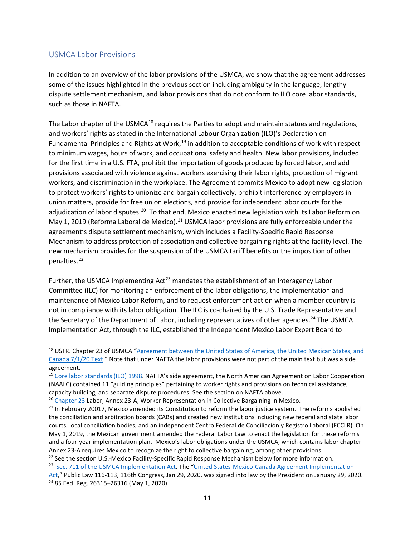### USMCA Labor Provisions

In addition to an overview of the labor provisions of the USMCA, we show that the agreement addresses some of the issues highlighted in the previous section including ambiguity in the language, lengthy dispute settlement mechanism, and labor provisions that do not conform to ILO core labor standards, such as those in NAFTA.

The Labor chapter of the USMCA<sup>[18](#page-10-0)</sup> requires the Parties to adopt and maintain statues and regulations, and workers' rights as stated in the International Labour Organization (ILO)'s Declaration on Fundamental Principles and Rights at Work,<sup>[19](#page-10-1)</sup> in addition to acceptable conditions of work with respect to minimum wages, hours of work, and occupational safety and health. New labor provisions, included for the first time in a U.S. FTA, prohibit the importation of goods produced by forced labor, and add provisions associated with violence against workers exercising their labor rights, protection of migrant workers, and discrimination in the workplace. The Agreement commits Mexico to adopt new legislation to protect workers' rights to unionize and bargain collectively, prohibit interference by employers in union matters, provide for free union elections, and provide for independent labor courts for the adjudication of labor disputes.<sup>[20](#page-10-2)</sup> To that end, Mexico enacted new legislation with its Labor Reform on May 1, 2019 (Reforma Laboral de Mexico).<sup>[21](#page-10-3)</sup> USMCA labor provisions are fully enforceable under the agreement's dispute settlement mechanism, which includes a Facility-Specific Rapid Response Mechanism to address protection of association and collective bargaining rights at the facility level. The new mechanism provides for the suspension of the USMCA tariff benefits or the imposition of other penalties. [22](#page-10-4)

Further, the USMCA Implementing  $Act^{23}$  $Act^{23}$  $Act^{23}$  mandates the establishment of an Interagency Labor Committee (ILC) for monitoring an enforcement of the labor obligations, the implementation and maintenance of Mexico Labor Reform, and to request enforcement action when a member country is not in compliance with its labor obligation. The ILC is co-chaired by the U.S. Trade Representative and the Secretary of the Department of Labor, including representatives of other agencies.<sup>[24](#page-10-6)</sup> The USMCA Implementation Act, through the ILC, established the Independent Mexico Labor Expert Board to

<span id="page-10-4"></span>

<span id="page-10-0"></span><sup>&</sup>lt;sup>18</sup> USTR. Chapter 23 of USMCA "Agreement between the United States of America, the United Mexican States, and [Canada 7/1/20 Text."](https://ustr.gov/trade-agreements/free-trade-agreements/united-states-mexico-canada-agreement/agreement-between) Note that under NAFTA the labor provisions were not part of the main text but was a side agreement.

<span id="page-10-1"></span><sup>&</sup>lt;sup>19</sup> [Core labor standards \(ILO\) 1998.](https://www.ilo.org/declaration/thedeclaration/textdeclaration/lang--en/index.htm) NAFTA's side agreement, the North American Agreement on Labor Cooperation (NAALC) contained 11 "guiding principles" pertaining to worker rights and provisions on technical assistance, capacity building, and separate dispute procedures. See the section on NAFTA above.

<span id="page-10-2"></span><sup>&</sup>lt;sup>20</sup> [Chapter 23](https://ustr.gov/sites/default/files/files/agreements/FTA/USMCA/Text/23%20Labor.pdf) Labor, Annex 23-A, Worker Representation in Collective Bargaining in Mexico.

<span id="page-10-3"></span><sup>&</sup>lt;sup>21</sup> In February 20017, Mexico amended its Constitution to reform the labor justice system. The reforms abolished the conciliation and arbitration boards (CABs) and created new institutions including new federal and state labor courts, local conciliation bodies, and an independent Centro Federal de Conciliación y Registro Laboral (FCCLR). On May 1, 2019, the Mexican government amended the Federal Labor Law to enact the legislation for these reforms and a four-year implementation plan. Mexico's labor obligations under the USMCA, which contains labor chapter Annex 23-A requires Mexico to recognize the right to collective bargaining, among other provisions.<br><sup>22</sup> See the section U.S.-Mexico Facility-Specific Rapid Response Mechanism below for more information.

<span id="page-10-6"></span><span id="page-10-5"></span><sup>&</sup>lt;sup>23</sup> Sec. 711 of the USMCA Implementation Act. The ["United States-Mexico-Canada Agreement Implementation](https://www.congress.gov/116/plaws/publ113/PLAW-116publ113.pdf)  $Act$ ," Public Law 116-113, 116th Congress, Jan 29, 2020, was signed into law by the President on January 29, 2020.<br><sup>24</sup> 85 Fed. Reg. 26315–26316 (May 1, 2020).</u>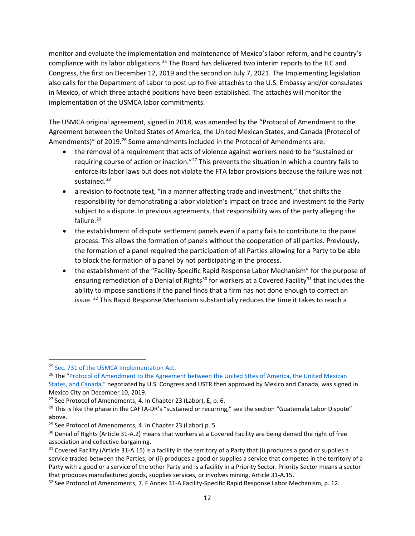monitor and evaluate the implementation and maintenance of Mexico's labor reform, and he country's compliance with its labor obligations.<sup>[25](#page-11-0)</sup> The Board has delivered two interim reports to the ILC and Congress, the first on December 12, 2019 and the second on July 7, 2021. The Implementing legislation also calls for the Department of Labor to post up to five attachés to the U.S. Embassy and/or consulates in Mexico, of which three attaché positions have been established. The attachés will monitor the implementation of the USMCA labor commitments.

The USMCA original agreement, signed in 2018, was amended by the "Protocol of Amendment to the Agreement between the United States of America, the United Mexican States, and Canada (Protocol of Amendments)" of 2019.<sup>[26](#page-11-1)</sup> Some amendments included in the Protocol of Amendments are:

- the removal of a requirement that acts of violence against workers need to be "sustained or requiring course of action or inaction."<sup>[27](#page-11-2)</sup> This prevents the situation in which a country fails to enforce its labor laws but does not violate the FTA labor provisions because the failure was not sustained.<sup>[28](#page-11-3)</sup>
- a revision to footnote text, "in a manner affecting trade and investment," that shifts the responsibility for demonstrating a labor violation's impact on trade and investment to the Party subject to a dispute. In previous agreements, that responsibility was of the party alleging the failure.<sup>[29](#page-11-4)</sup>
- the establishment of dispute settlement panels even if a party fails to contribute to the panel process. This allows the formation of panels without the cooperation of all parties. Previously, the formation of a panel required the participation of all Parties allowing for a Party to be able to block the formation of a panel by not participating in the process.
- the establishment of the "Facility-Specific Rapid Response Labor Mechanism" for the purpose of ensuring remediation of a Denial of Rights<sup>[30](#page-11-5)</sup> for workers at a Covered Facility<sup>[31](#page-11-6)</sup> that includes the ability to impose sanctions if the panel finds that a firm has not done enough to correct an issue.  $32$  This Rapid Response Mechanism substantially reduces the time it takes to reach a

<span id="page-11-1"></span><span id="page-11-0"></span><sup>&</sup>lt;sup>25</sup> Sec. 731 of the USMCA Implementation Act.<br><sup>26</sup> The "Protocol of Amendment to the Agreement between the United Sttes of America, the United Mexican

[States, and](https://ustr.gov/sites/default/files/files/agreements/FTA/USMCA/Protocol-of-Amendments-to-the-United-States-Mexico-Canada-Agreement.pdf) Canada," negotiated by U.S. Congress and USTR then approved by Mexico and Canada, was signed in Mexico City on December 10, 2019.

<span id="page-11-2"></span> $27$  See Protocol of Amendments, 4. In Chapter 23 (Labor), E, p. 6.

<span id="page-11-3"></span> $28$  This is like the phase in the CAFTA-DR's "sustained or recurring," see the section "Guatemala Labor Dispute" above.

<span id="page-11-5"></span><span id="page-11-4"></span><sup>&</sup>lt;sup>29</sup> See Protocol of Amendments, 4. In Chapter 23 (Labor) p. 5.<br><sup>30</sup> Denial of Rights (Article 31-A.2) means that workers at a Covered Facility are being denied the right of free association and collective bargaining.

<span id="page-11-6"></span> $31$  Covered Facility (Article 31-A.15) is a facility in the territory of a Party that (i) produces a good or supplies a service traded between the Parties; or (ii) produces a good or supplies a service that competes in the territory of a Party with a good or a service of the other Party and is a facility in a Priority Sector. Priority Sector means a sector that produces manufactured goods, supplies services, or involves mining, Article 31-A.15.<br><sup>32</sup> See Protocol of Amendments, 7. F Annex 31-A Facility-Specific Rapid Response Labor Mechanism, p. 12.

<span id="page-11-7"></span>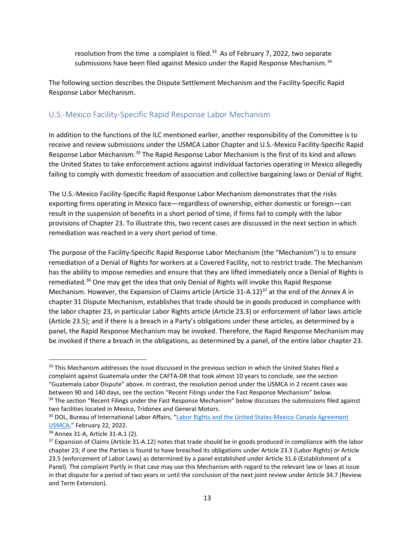resolution from the time a complaint is filed. $33$  As of February 7, 2022, two separate submissions have been filed against Mexico under the Rapid Response Mechanism.<sup>[34](#page-12-1)</sup>

The following section describes the Dispute Settlement Mechanism and the Facility-Specific Rapid Response Labor Mechanism.

### U.S.-Mexico Facility-Specific Rapid Response Labor Mechanism

In addition to the functions of the ILC mentioned earlier, another responsibility of the Committee is to receive and review submissions under the USMCA Labor Chapter and U.S.-Mexico Facility-Specific Rapid Response Labor Mechanism.[35](#page-12-2) The Rapid Response Labor Mechanism is the first of its kind and allows the United States to take enforcement actions against individual factories operating in Mexico allegedly failing to comply with domestic freedom of association and collective bargaining laws or Denial of Right.

The U.S.-Mexico Facility-Specific Rapid Response Labor Mechanism demonstrates that the risks exporting firms operating in Mexico face—regardless of ownership, either domestic or foreign—can result in the suspension of benefits in a short period of time, if firms fail to comply with the labor provisions of Chapter 23. To illustrate this, two recent cases are discussed in the next section in which remediation was reached in a very short period of time.

The purpose of the Facility-Specific Rapid Response Labor Mechanism (the "Mechanism") is to ensure remediation of a Denial of Rights for workers at a Covered Facility, not to restrict trade. The Mechanism has the ability to impose remedies and ensure that they are lifted immediately once a Denial of Rights is remediated.<sup>[36](#page-12-3)</sup> One may get the idea that only Denial of Rights will invoke this Rapid Response Mechanism. However, the Expansion of Claims article (Article 31-A.12)<sup>[37](#page-12-4)</sup> at the end of the Annex A in chapter 31 Dispute Mechanism, establishes that trade should be in goods produced in compliance with the labor chapter 23, in particular Labor Rights article (Article 23.3) or enforcement of labor laws article (Article 23.5); and if there is a breach in a Party's obligations under these articles, as determined by a panel, the Rapid Response Mechanism may be invoked. Therefore, the Rapid Response Mechanism may be invoked if there a breach in the obligations, as determined by a panel, of the entire labor chapter 23.

<span id="page-12-0"></span><sup>33</sup> This Mechanism addresses the issue discussed in the previous section in which the United States filed a complaint against Guatemala under the CAFTA-DR that took almost 10 years to conclude, see the section "Guatemala Labor Dispute" above. In contrast, the resolution period under the USMCA in 2 recent cases was between 90 and 140 days, see the section "Recent Filings under the Fast Response Mechanism" below.<br><sup>34</sup> The section "Recent Filings under the Fast Response Mechanism" below discusses the submissions filed against

<span id="page-12-1"></span>two facilities located in Mexico, Tridonex and General Motors.

<span id="page-12-2"></span><sup>&</sup>lt;sup>35</sup> DOL, Bureau of International Labor Affairs, "Labor Rights and the United States-Mexico-Canada Agreement [USMCA,](https://www.dol.gov/agencies/ilab/our-work/trade/labor-rights-usmca-cases)" February 22, 2022.

<span id="page-12-4"></span><span id="page-12-3"></span><sup>&</sup>lt;sup>36</sup> Annex 31-A, Article 31-A.1 (2).<br><sup>37</sup> Expansion of Claims (Article 31-A.12) notes that trade should be in goods produced in compliance with the labor chapter 23; if one the Parties is found to have breached its obligations under Article 23.3 (Labor Rights) or Article 23.5 (enforcement of Labor Laws) as determined by a panel established under Article 31.6 (Establishment of a Panel). The complaint Partly in that case may use this Mechanism with regard to the relevant law or laws at issue in that dispute for a period of two years or until the conclusion of the next joint review under Article 34.7 (Review and Term Extension).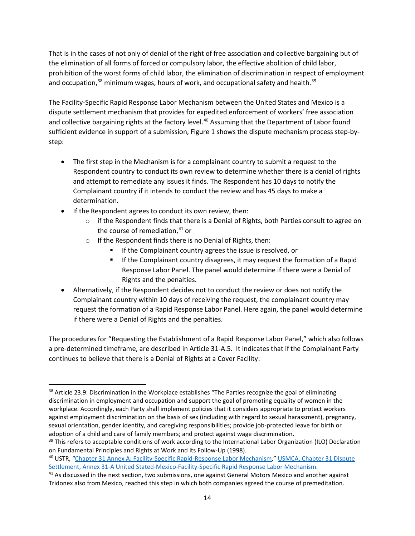That is in the cases of not only of denial of the right of free association and collective bargaining but of the elimination of all forms of forced or compulsory labor, the effective abolition of child labor, prohibition of the worst forms of child labor, the elimination of discrimination in respect of employment and occupation,<sup>[38](#page-13-0)</sup> minimum wages, hours of work, and occupational safety and health.<sup>[39](#page-13-1)</sup>

The Facility-Specific Rapid Response Labor Mechanism between the United States and Mexico is a dispute settlement mechanism that provides for expedited enforcement of workers' free association and collective bargaining rights at the factory level.<sup>[40](#page-13-2)</sup> Assuming that the Department of Labor found sufficient evidence in support of a submission, Figure 1 shows the dispute mechanism process step-bystep:

- The first step in the Mechanism is for a complainant country to submit a request to the Respondent country to conduct its own review to determine whether there is a denial of rights and attempt to remediate any issues it finds. The Respondent has 10 days to notify the Complainant country if it intends to conduct the review and has 45 days to make a determination.
- If the Respondent agrees to conduct its own review, then:
	- $\circ$  if the Respondent finds that there is a Denial of Rights, both Parties consult to agree on the course of remediation, $41$  or
	- o If the Respondent finds there is no Denial of Rights, then:
		- If the Complainant country agrees the issue is resolved, or
		- If the Complainant country disagrees, it may request the formation of a Rapid Response Labor Panel. The panel would determine if there were a Denial of Rights and the penalties.
- Alternatively, if the Respondent decides not to conduct the review or does not notify the Complainant country within 10 days of receiving the request, the complainant country may request the formation of a Rapid Response Labor Panel. Here again, the panel would determine if there were a Denial of Rights and the penalties.

The procedures for "Requesting the Establishment of a Rapid Response Labor Panel," which also follows a pre-determined timeframe, are described in Article 31-A.5. It indicates that if the Complainant Party continues to believe that there is a Denial of Rights at a Cover Facility:

<span id="page-13-0"></span><sup>38</sup> Article 23.9: Discrimination in the Workplace establishes "The Parties recognize the goal of eliminating discrimination in employment and occupation and support the goal of promoting equality of women in the workplace. Accordingly, each Party shall implement policies that it considers appropriate to protect workers against employment discrimination on the basis of sex (including with regard to sexual harassment), pregnancy, sexual orientation, gender identity, and caregiving responsibilities; provide job-protected leave for birth or adoption of a child and care of family members; and protect against wage discrimination.

<span id="page-13-1"></span><sup>&</sup>lt;sup>39</sup> This refers to acceptable conditions of work according to the International Labor Organization (ILO) Declaration on Fundamental Principles and Rights at Work and its Follow-Up (1998).<br><sup>40</sup> USTR, ["Chapter 31 Annex A: Facility-Specific Rapid-Response Labor Mechanism,"](https://ustr.gov/issue-areas/enforcement/dispute-settlement-proceedings/fta-dispute-settlement/usmca/chapter-31-annex-facility-specific-rapid-response-labor-mechanism) USMCA, Chapter 31 Dispute

<span id="page-13-2"></span>[Settlement, Annex 31-A United Stated-Mexico-Facility-Specific Rapid Response Labor Mechanism.](https://ustr.gov/sites/default/files/files/agreements/FTA/USMCA/Text/31%20Dispute%20Settlement.pdf)<br><sup>41</sup> As discussed in the next section, two submissions, one against General Motors Mexico and another against

<span id="page-13-3"></span>Tridonex also from Mexico, reached this step in which both companies agreed the course of premeditation.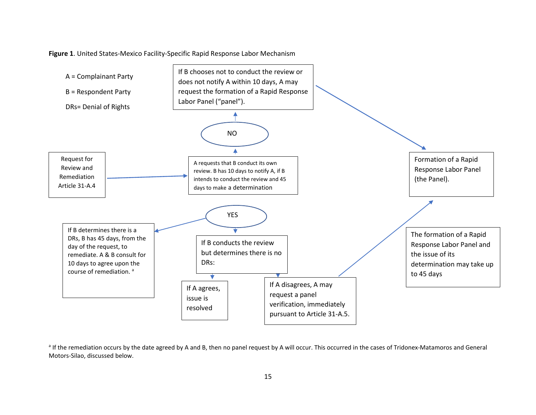

**Figure 1**. United States-Mexico Facility-Specific Rapid Response Labor Mechanism

a If the remediation occurs by the date agreed by A and B, then no panel request by A will occur. This occurred in the cases of Tridonex-Matamoros and General Motors-Silao, discussed below.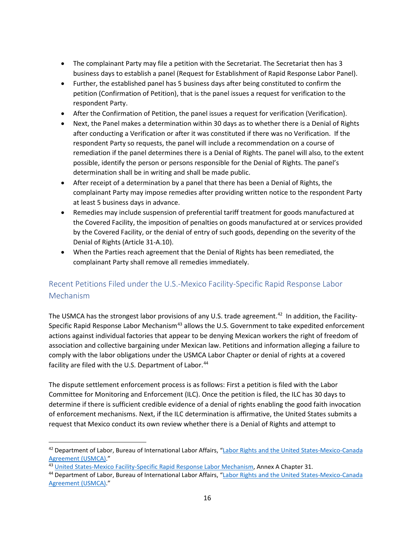- The complainant Party may file a petition with the Secretariat. The Secretariat then has 3 business days to establish a panel (Request for Establishment of Rapid Response Labor Panel).
- Further, the established panel has 5 business days after being constituted to confirm the petition (Confirmation of Petition), that is the panel issues a request for verification to the respondent Party.
- After the Confirmation of Petition, the panel issues a request for verification (Verification).
- Next, the Panel makes a determination within 30 days as to whether there is a Denial of Rights after conducting a Verification or after it was constituted if there was no Verification. If the respondent Party so requests, the panel will include a recommendation on a course of remediation if the panel determines there is a Denial of Rights. The panel will also, to the extent possible, identify the person or persons responsible for the Denial of Rights. The panel's determination shall be in writing and shall be made public.
- After receipt of a determination by a panel that there has been a Denial of Rights, the complainant Party may impose remedies after providing written notice to the respondent Party at least 5 business days in advance.
- Remedies may include suspension of preferential tariff treatment for goods manufactured at the Covered Facility, the imposition of penalties on goods manufactured at or services provided by the Covered Facility, or the denial of entry of such goods, depending on the severity of the Denial of Rights (Article 31-A.10).
- When the Parties reach agreement that the Denial of Rights has been remediated, the complainant Party shall remove all remedies immediately.

## Recent Petitions Filed under the U.S.-Mexico Facility-Specific Rapid Response Labor Mechanism

The USMCA has the strongest labor provisions of any U.S. trade agreement.<sup>42</sup> In addition, the Facility-Specific Rapid Response Labor Mechanism<sup>[43](#page-15-1)</sup> allows the U.S. Government to take expedited enforcement actions against individual factories that appear to be denying Mexican workers the right of freedom of association and collective bargaining under Mexican law. Petitions and information alleging a failure to comply with the labor obligations under the USMCA Labor Chapter or denial of rights at a covered facility are filed with the U.S. Department of Labor.<sup>[44](#page-15-2)</sup>

The dispute settlement enforcement process is as follows: First a petition is filed with the Labor Committee for Monitoring and Enforcement (ILC). Once the petition is filed, the ILC has 30 days to determine if there is sufficient credible evidence of a denial of rights enabling the good faith invocation of enforcement mechanisms. Next, if the ILC determination is affirmative, the United States submits a request that Mexico conduct its own review whether there is a Denial of Rights and attempt to

<span id="page-15-0"></span><sup>&</sup>lt;sup>42</sup> Department of Labor, Bureau of International Labor Affairs, "Labor Rights and the United States-Mexico-Canada [Agreement \(USMCA\)."](https://www.dol.gov/agencies/ilab/our-work/trade/labor-rights-usmca)

<span id="page-15-2"></span><span id="page-15-1"></span><sup>&</sup>lt;sup>43</sup> [United States-Mexico Facility-Specific Rapid Response Labor Mechanism,](https://ustr.gov/sites/default/files/files/agreements/FTA/USMCA/Text/31%20Dispute%20Settlement.pdf) Annex A Chapter 31.<br><sup>44</sup> Department of Labor, Bureau of International Labor Affairs, "Labor Rights and the United States-Mexico-Canada [Agreement \(USMCA\)."](https://www.dol.gov/agencies/ilab/our-work/trade/labor-rights-usmca)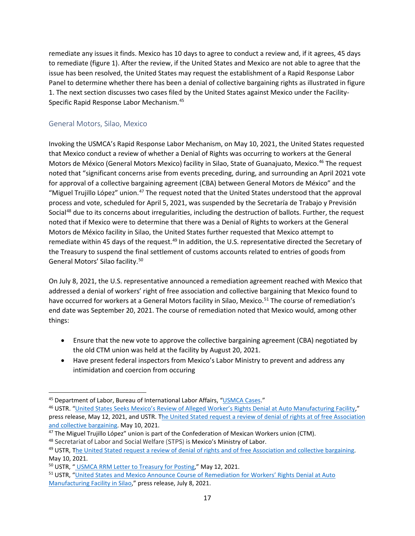remediate any issues it finds. Mexico has 10 days to agree to conduct a review and, if it agrees, 45 days to remediate (figure 1). After the review, if the United States and Mexico are not able to agree that the issue has been resolved, the United States may request the establishment of a Rapid Response Labor Panel to determine whether there has been a denial of collective bargaining rights as illustrated in figure 1. The next section discusses two cases filed by the United States against Mexico under the Facility-Specific Rapid Response Labor Mechanism.<sup>[45](#page-16-0)</sup>

#### General Motors, Silao, Mexico

Invoking the USMCA's Rapid Response Labor Mechanism, on May 10, 2021, the United States requested that Mexico conduct a review of whether a Denial of Rights was occurring to workers at the General Motors de México (General Motors Mexico) facility in Silao, State of Guanajuato, Mexico.<sup>[46](#page-16-1)</sup> The request noted that "significant concerns arise from events preceding, during, and surrounding an April 2021 vote for approval of a collective bargaining agreement (CBA) between General Motors de México" and the "Miguel Trujillo López" union.<sup>[47](#page-16-2)</sup> The request noted that the United States understood that the approval process and vote, scheduled for April 5, 2021, was suspended by the Secretaría de Trabajo y Previsión Social<sup>[48](#page-16-3)</sup> due to its concerns about irregularities, including the destruction of ballots. Further, the request noted that if Mexico were to determine that there was a Denial of Rights to workers at the General Motors de México facility in Silao, the United States further requested that Mexico attempt to remediate within 45 days of the request.<sup>[49](#page-16-4)</sup> In addition, the U.S. representative directed the Secretary of the Treasury to suspend the final settlement of customs accounts related to entries of goods from General Motors' Silao facility.[50](#page-16-5)

On July 8, 2021, the U.S. representative announced a remediation agreement reached with Mexico that addressed a denial of workers' right of free association and collective bargaining that Mexico found to have occurred for workers at a General Motors facility in Silao, Mexico.<sup>[51](#page-16-6)</sup> The course of remediation's end date was September 20, 2021. The course of remediation noted that Mexico would, among other things:

- Ensure that the new vote to approve the collective bargaining agreement (CBA) negotiated by the old CTM union was held at the facility by August 20, 2021.
- Have present federal inspectors from Mexico's Labor Ministry to prevent and address any intimidation and coercion from occuring

<span id="page-16-1"></span><span id="page-16-0"></span><sup>&</sup>lt;sup>45</sup> Department of Labor, Bureau of International Labor Affairs, ["USMCA Cases.](https://www.dol.gov/agencies/ilab/our-work/trade/labor-rights-usmca-cases#GM_Silao)"<br><sup>46</sup> USTR. ["United States Seeks Mexico's Review of Alleged Worker's Rights Denial at Auto Manufacturing Facility,"](https://ustr.gov/about-us/policy-offices/press-office/press-releases/2021/may/united-states-seeks-mexicos-review-alleged-workers-rights-denial-auto-manufacturing-facility-0) press release, May 12, 2021, and USTR. The United Stated request a review of denial of rights at of free Association [and collective bargaining.](https://ustr.gov/sites/default/files/assets/usmca/USTR%20USMCA%20RRM%20Req%20Mex%20for%20posting2.pdf) May 10, 2021.<br><sup>47</sup> The Miguel Trujillo López" union is part of the Confederation of Mexican Workers union (CTM).<br><sup>48</sup> Secretariat of Labor and Social Welfare (STPS) is Mexico's Ministry of Labor.

<span id="page-16-2"></span>

<span id="page-16-3"></span>

<span id="page-16-4"></span><sup>&</sup>lt;sup>49</sup> USTR, [The United Stated request a review of denial of rights and of free Association and collective bargaining.](https://ustr.gov/sites/default/files/assets/usmca/USTR%20USMCA%20RRM%20Req%20Mex%20for%20posting2.pdf) May 10, 2021.

<span id="page-16-5"></span><sup>50</sup> USTR, " [USMCA RRM Letter to Treasury for Posting,](https://ustr.gov/sites/default/files/enforcement/USMCA/USTR%20USMCA%20RRM%20Ltr%20to%20Treasury%20for%20posting.pdf)" May 12, 2021.

<span id="page-16-6"></span><sup>51</sup> USTR, ["United States and Mexico Announce Course of Remediation for Workers' Rights Denial at Auto](https://ustr.gov/about-us/policy-offices/press-office/press-releases/2021/july/united-states-and-mexico-announce-course-remediation-workers-rights-denial-auto-manufacturing)  [Manufacturing Facility in Silao,](https://ustr.gov/about-us/policy-offices/press-office/press-releases/2021/july/united-states-and-mexico-announce-course-remediation-workers-rights-denial-auto-manufacturing)" press release, July 8, 2021.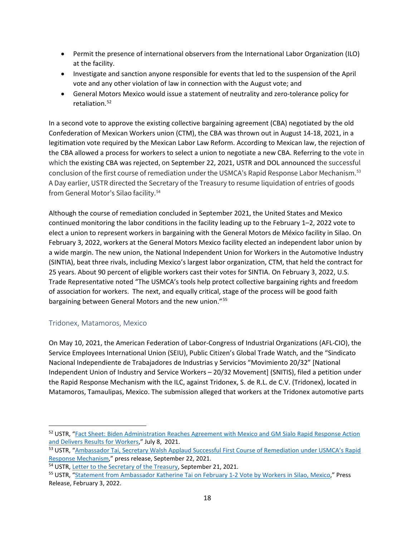- Permit the presence of international observers from the International Labor Organization (ILO) at the facility.
- Investigate and sanction anyone responsible for events that led to the suspension of the April vote and any other violation of law in connection with the August vote; and
- General Motors Mexico would issue a statement of neutrality and zero-tolerance policy for retaliation. [52](#page-17-0)

In a second vote to approve the existing collective bargaining agreement (CBA) negotiated by the old Confederation of Mexican Workers union (CTM), the CBA was thrown out in August 14-18, 2021, in a legitimation vote required by the Mexican Labor Law Reform. According to Mexican law, the rejection of the CBA allowed a process for workers to select a union to negotiate a new CBA. Referring to the vote in which the existing CBA was rejected, on September 22, 2021, USTR and DOL announced the successful conclusion of the first course of remediation under the USMCA's Rapid Response Labor Mechanism.[53](#page-17-1) A Day earlier, USTR directed the Secretary of the Treasury to resume liquidation of entries of goods from General Motor's Silao facility. [54](#page-17-2)

Although the course of remediation concluded in September 2021, the United States and Mexico continued monitoring the labor conditions in the facility leading up to the February 1–2, 2022 vote to elect a union to represent workers in bargaining with the General Motors de México facility in Silao. On February 3, 2022, workers at the General Motors Mexico facility elected an independent labor union by a wide margin. The new union, the National Independent Union for Workers in the Automotive Industry (SINTIA), beat three rivals, including Mexico's largest labor organization, CTM, that held the contract for 25 years. About 90 percent of eligible workers cast their votes for SINTIA. On February 3, 2022, U.S. Trade Representative noted "The USMCA's tools help protect collective bargaining rights and freedom of association for workers. The next, and equally critical, stage of the process will be good faith bargaining between General Motors and the new union."[55](#page-17-3)

#### Tridonex, Matamoros, Mexico

On May 10, 2021, the American Federation of Labor-Congress of Industrial Organizations (AFL-CIO), the Service Employees International Union (SEIU), Public Citizen's Global Trade Watch, and the "Sindicato Nacional Independiente de Trabajadores de Industrias y Servicios "Movimiento 20/32" [National Independent Union of Industry and Service Workers – 20/32 Movement] (SNITIS), filed a petition under the Rapid Response Mechanism with the ILC, against Tridonex, S. de R.L. de C.V. (Tridonex), located in Matamoros, Tamaulipas, Mexico. The submission alleged that workers at the Tridonex automotive parts

<span id="page-17-0"></span><sup>52</sup> USTR, ["Fact Sheet: Biden Administration Reaches Agreement with Mexico and GM Sialo Rapid Response Action](https://ustr.gov/about-us/policy-offices/press-office/fact-sheets/2021/july/fact-sheet-biden-administration-reaches-agreement-mexico-gm-silao-rapid-response-action-and-delivers#:%7E:text=Results%20for%20Workers-,FACT%20SHEET%3A%20Biden%20Administration%20Reaches%20Agreement%20with%20Mexico%20on%20GM,and%20Delivers%20Results%20for%20Workers&text=USTR)  [and Delivers Results for Workers,"](https://ustr.gov/about-us/policy-offices/press-office/fact-sheets/2021/july/fact-sheet-biden-administration-reaches-agreement-mexico-gm-silao-rapid-response-action-and-delivers#:%7E:text=Results%20for%20Workers-,FACT%20SHEET%3A%20Biden%20Administration%20Reaches%20Agreement%20with%20Mexico%20on%20GM,and%20Delivers%20Results%20for%20Workers&text=USTR) July 8, 2021.

<span id="page-17-1"></span><sup>53</sup> USTR, "Ambassador Tai, Secretary Walsh Applaud Successful First Course of Remediation under USMCA's Rapid [Response Mechanism,"](https://ustr.gov/index.php/about-us/policy-offices/press-office/press-releases/2021/september/ambassador-tai-secretary-walsh-applaud-successful-first-course-remediation-under-usmcas-rapid) press release, September 22, 2021.

<span id="page-17-2"></span><sup>54</sup> USTR, [Letter to the Secretary of the Treasury,](https://ustr.gov/sites/default/files/files/Press/Releases/Letter%20to%20Secretary%20Yellen%20-%2009.21.21.pdf) September 21, 2021.

<span id="page-17-3"></span><sup>55</sup> USTR, ["Statement from Ambassador Katherine Tai on February 1-2 Vote by Workers in Silao, Mexico,"](https://ustr.gov/about-us/policy-offices/press-office/press-releases/2022/february/statement-ambassador-katherine-tai-february-1-2-vote-workers-silao-mexico) Press Release, February 3, 2022.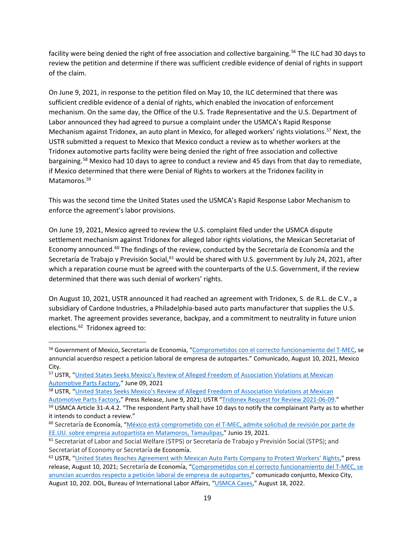facility were being denied the right of free association and collective bargaining.<sup>56</sup> The ILC had 30 days to review the petition and determine if there was sufficient credible evidence of denial of rights in support of the claim.

On June 9, 2021, in response to the petition filed on May 10, the ILC determined that there was sufficient credible evidence of a denial of rights, which enabled the invocation of enforcement mechanism. On the same day, the Office of the U.S. Trade Representative and the U.S. Department of Labor announced they had agreed to pursue a complaint under the USMCA's Rapid Response Mechanism against Tridonex, an auto plant in Mexico, for alleged workers' rights violations.<sup>[57](#page-18-1)</sup> Next, the USTR submitted a request to Mexico that Mexico conduct a review as to whether workers at the Tridonex automotive parts facility were being denied the right of free association and collective bargaining.<sup>[58](#page-18-2)</sup> Mexico had 10 days to agree to conduct a review and 45 days from that day to remediate, if Mexico determined that there were Denial of Rights to workers at the Tridonex facility in Matamoros. [59](#page-18-3)

This was the second time the United States used the USMCA's Rapid Response Labor Mechanism to enforce the agreement's labor provisions.

On June 19, 2021, Mexico agreed to review the U.S. complaint filed under the USMCA dispute settlement mechanism against Tridonex for alleged labor rights violations, the Mexican Secretariat of Economy announced.<sup>[60](#page-18-4)</sup> The findings of the review, conducted by the Secretaría de Economía and the Secretaría de Trabajo y Previsión Social,<sup>61</sup> would be shared with U.S. government by July 24, 2021, after which a reparation course must be agreed with the counterparts of the U.S. Government, if the review determined that there was such denial of workers' rights.

On August 10, 2021, USTR announced it had reached an agreement with Tridonex, S. de R.L. de C.V., a subsidiary of Cardone Industries, a Philadelphia-based auto parts manufacturer that supplies the U.S. market. The agreement provides severance, backpay, and a commitment to neutrality in future union elections. [62](#page-18-6) Tridonex agreed to:

<span id="page-18-0"></span><sup>56</sup> Government of Mexico, Secretaria de Economia, ["Comprometidos con el correcto funcionamiento del T-MEC,](https://www.gob.mx/se/prensa/comprometidos-con-el-correcto-funcionamiento-del-t-mec-se-anuncian-acuerdos-respecto-a-peticion-laboral-de-empresa-de-autopartes?idiom=es) se annuncial acuerdso respect a peticion laboral de empresa de autopartes." Comunicado, August 10, 2021, Mexico City.

<span id="page-18-1"></span><sup>57</sup> USTR, ["United States Seeks Mexico's Review of Alleged Freedom of Association Violations at Mexican](https://ustr.gov/about-us/policy-offices/press-office/press-releases/2021/june/united-states-seeks-mexicos-review-alleged-freedom-association-violations-mexican-automotive-parts)  [Automotive Parts Factory,](https://ustr.gov/about-us/policy-offices/press-office/press-releases/2021/june/united-states-seeks-mexicos-review-alleged-freedom-association-violations-mexican-automotive-parts)" June 09, 2021

<span id="page-18-2"></span><sup>58</sup> USTR, "United States Seeks Mexico's Review of Alleged Freedom of Association Violations at Mexican

[Automotive Parts Factory,](https://ustr.gov/about-us/policy-offices/press-office/press-releases/2021/june/united-states-seeks-mexicos-review-alleged-freedom-association-violations-mexican-automotive-parts)" Press Release, June 9, 2021; USTR ["Tridonex Request for Review 2021-06-09.](https://ustr.gov/sites/default/files/enforcement/USMCA/Tridonex%20Request%20for%20Review%202021-06-09%20-%20for%20web%20posting.pdf)" 69 USMCA Article 31-A.4.2. "The respondent Party shall have 10 days to notify the complainant Party as to whether

<span id="page-18-3"></span>it intends to conduct a review."

<span id="page-18-4"></span><sup>60</sup> Secretaría de Economía, ["México está comprometido con el T-MEC, admite solicitud de revisión por parte de](https://www.gob.mx/se/prensa/mexico-esta-comprometido-con-el-t-mec-admite-solicitud-de-revision-por-parte-de-ee-uu-sobre-empresa-autopartista-en-matamoros-tamaulipas?state=published)  [EE.UU. sobre empresa autopartista en Matamoros, Tamaulipas,](https://www.gob.mx/se/prensa/mexico-esta-comprometido-con-el-t-mec-admite-solicitud-de-revision-por-parte-de-ee-uu-sobre-empresa-autopartista-en-matamoros-tamaulipas?state=published)" Junio 19, 2021.<br><sup>61</sup> Secretariat of Labor and Social Welfare (STPS) or Secretaría de Trabajo y Previsión Social (STPS); and

<span id="page-18-5"></span>Secretariat of Economy or Secretaría de Economía.

<span id="page-18-6"></span><sup>&</sup>lt;sup>62</sup> USTR, ["United States Reaches Agreement with Mexican Auto Parts Company to Protect Workers' Rights,"](https://ustr.gov/about-us/policy-offices/press-office/press-releases/2021/august/united-states-reaches-agreement-mexican-auto-parts-company-protect-workers-rights) press release, August 10, 2021; Secretaría de Economía, ["Comprometidos con el correcto funcionamiento del T-MEC, se](https://www.gob.mx/se/prensa/comprometidos-con-el-correcto-funcionamiento-del-t-mec-se-anuncian-acuerdos-respecto-a-peticion-laboral-de-empresa-de-autopartes?idiom=es)  [anuncian acuerdos respecto a petición laboral de empresa de autopartes,"](https://www.gob.mx/se/prensa/comprometidos-con-el-correcto-funcionamiento-del-t-mec-se-anuncian-acuerdos-respecto-a-peticion-laboral-de-empresa-de-autopartes?idiom=es) comunicado conjunto, Mexico City, August 10, 202. DOL, Bureau of International Labor Affairs, ["USMCA Cases,](https://www.dol.gov/agencies/ilab/our-work/trade/labor-rights-usmca-cases#Tridonex)" August 18, 2022.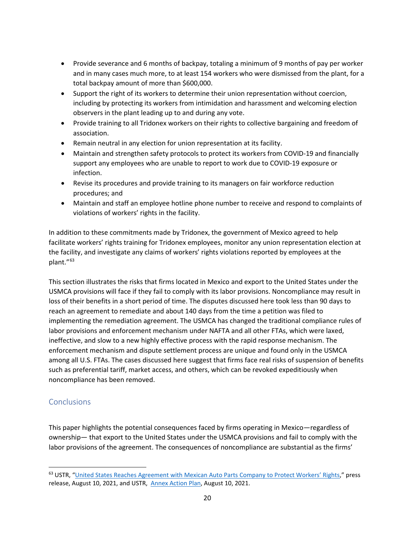- Provide severance and 6 months of backpay, totaling a minimum of 9 months of pay per worker and in many cases much more, to at least 154 workers who were dismissed from the plant, for a total backpay amount of more than \$600,000.
- Support the right of its workers to determine their union representation without coercion, including by protecting its workers from intimidation and harassment and welcoming election observers in the plant leading up to and during any vote.
- Provide training to all Tridonex workers on their rights to collective bargaining and freedom of association.
- Remain neutral in any election for union representation at its facility.
- Maintain and strengthen safety protocols to protect its workers from COVID-19 and financially support any employees who are unable to report to work due to COVID-19 exposure or infection.
- Revise its procedures and provide training to its managers on fair workforce reduction procedures; and
- Maintain and staff an employee hotline phone number to receive and respond to complaints of violations of workers' rights in the facility.

In addition to these commitments made by Tridonex, the government of Mexico agreed to help facilitate workers' rights training for Tridonex employees, monitor any union representation election at the facility, and investigate any claims of workers' rights violations reported by employees at the plant."[63](#page-19-0) 

This section illustrates the risks that firms located in Mexico and export to the United States under the USMCA provisions will face if they fail to comply with its labor provisions. Noncompliance may result in loss of their benefits in a short period of time. The disputes discussed here took less than 90 days to reach an agreement to remediate and about 140 days from the time a petition was filed to implementing the remediation agreement. The USMCA has changed the traditional compliance rules of labor provisions and enforcement mechanism under NAFTA and all other FTAs, which were laxed, ineffective, and slow to a new highly effective process with the rapid response mechanism. The enforcement mechanism and dispute settlement process are unique and found only in the USMCA among all U.S. FTAs. The cases discussed here suggest that firms face real risks of suspension of benefits such as preferential tariff, market access, and others, which can be revoked expeditiously when noncompliance has been removed.

## **Conclusions**

This paper highlights the potential consequences faced by firms operating in Mexico—regardless of ownership— that export to the United States under the USMCA provisions and fail to comply with the labor provisions of the agreement. The consequences of noncompliance are substantial as the firms'

<span id="page-19-0"></span><sup>&</sup>lt;sup>63</sup> USTR, ["United States Reaches Agreement with Mexican Auto Parts Company to Protect Workers' Rights,"](https://ustr.gov/about-us/policy-offices/press-office/press-releases/2021/august/united-states-reaches-agreement-mexican-auto-parts-company-protect-workers-rights) press release, August 10, 2021, and USTR, [Annex Action Plan,](https://ustr.gov/sites/default/files/enforcement/USMCA/Tridonex%20Action%20Plan.pdf) August 10, 2021.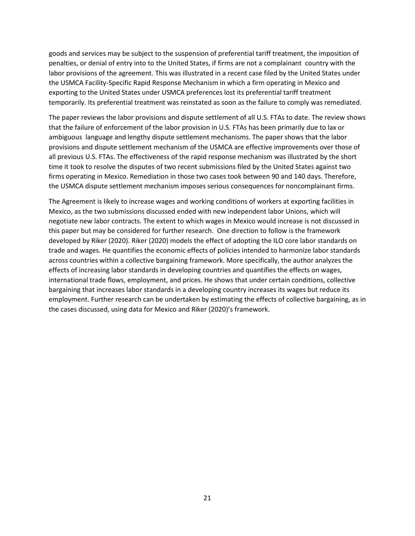goods and services may be subject to the suspension of preferential tariff treatment, the imposition of penalties, or denial of entry into to the United States, if firms are not a complainant country with the labor provisions of the agreement. This was illustrated in a recent case filed by the United States under the USMCA Facility-Specific Rapid Response Mechanism in which a firm operating in Mexico and exporting to the United States under USMCA preferences lost its preferential tariff treatment temporarily. Its preferential treatment was reinstated as soon as the failure to comply was remediated.

The paper reviews the labor provisions and dispute settlement of all U.S. FTAs to date. The review shows that the failure of enforcement of the labor provision in U.S. FTAs has been primarily due to lax or ambiguous language and lengthy dispute settlement mechanisms. The paper shows that the labor provisions and dispute settlement mechanism of the USMCA are effective improvements over those of all previous U.S. FTAs. The effectiveness of the rapid response mechanism was illustrated by the short time it took to resolve the disputes of two recent submissions filed by the United States against two firms operating in Mexico. Remediation in those two cases took between 90 and 140 days. Therefore, the USMCA dispute settlement mechanism imposes serious consequences for noncomplainant firms.

The Agreement is likely to increase wages and working conditions of workers at exporting facilities in Mexico, as the two submissions discussed ended with new independent labor Unions, which will negotiate new labor contracts. The extent to which wages in Mexico would increase is not discussed in this paper but may be considered for further research. One direction to follow is the framework developed by Riker (2020). Riker (2020) models the effect of adopting the ILO core labor standards on trade and wages. He quantifies the economic effects of policies intended to harmonize labor standards across countries within a collective bargaining framework. More specifically, the author analyzes the effects of increasing labor standards in developing countries and quantifies the effects on wages, international trade flows, employment, and prices. He shows that under certain conditions, collective bargaining that increases labor standards in a developing country increases its wages but reduce its employment. Further research can be undertaken by estimating the effects of collective bargaining, as in the cases discussed, using data for Mexico and Riker (2020)'s framework.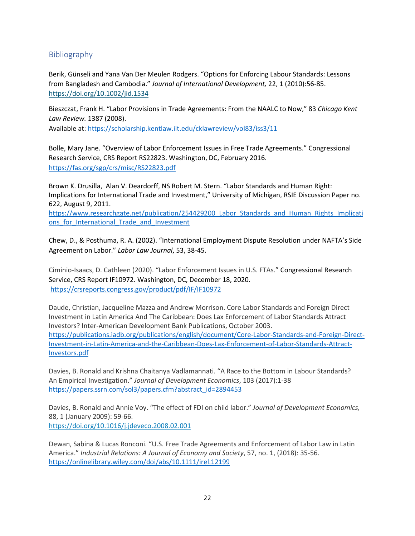## Bibliography

Berik, Günseli and Yana Van Der Meulen Rodgers. "Options for Enforcing Labour Standards: Lessons from Bangladesh and Cambodia." *Journal of International Development,* 22, 1 (2010):56-85. <https://doi.org/10.1002/jid.1534>

Bieszczat, Frank H. "Labor Provisions in Trade Agreements: From the NAALC to Now," 83 *Chicago Kent Law Review.* 1387 (2008).

Available at[: https://scholarship.kentlaw.iit.edu/cklawreview/vol83/iss3/11](https://scholarship.kentlaw.iit.edu/cklawreview/vol83/iss3/11) 

Bolle, Mary Jane. "Overview of Labor Enforcement Issues in Free Trade Agreements." Congressional Research Service, CRS Report RS22823. Washington, DC, February 2016. <https://fas.org/sgp/crs/misc/RS22823.pdf>

Brown K. Drusilla, Alan V. Deardorff, NS Robert M. Stern. "Labor Standards and Human Right: Implications for International Trade and Investment," University of Michigan, RSIE Discussion Paper no. 622, August 9, 2011.

[https://www.researchgate.net/publication/254429200\\_Labor\\_Standards\\_and\\_Human\\_Rights\\_Implicati](https://www.researchgate.net/publication/254429200_Labor_Standards_and_Human_Rights_Implications_for_International_Trade_and_Investment) ons for International Trade and Investment

Chew, D., & Posthuma, R. A. (2002). "International Employment Dispute Resolution under NAFTA's Side Agreement on Labor." *Labor Law Journal*, 53, 38-45.

Ciminio-Isaacs, D. Cathleen (2020). "Labor Enforcement Issues in U.S. FTAs." Congressional Research Service, CRS Report IF10972. Washington, DC, December 18, 2020. <https://crsreports.congress.gov/product/pdf/IF/IF10972>

Daude, Christian, Jacqueline Mazza and Andrew Morrison. Core Labor Standards and Foreign Direct Investment in Latin America And The Caribbean: Does Lax Enforcement of Labor Standards Attract Investors? Inter-American Development Bank Publications, October 2003. [https://publications.iadb.org/publications/english/document/Core-Labor-Standards-and-Foreign-Direct-](https://publications.iadb.org/publications/english/document/Core-Labor-Standards-and-Foreign-Direct-Investment-in-Latin-America-and-the-Caribbean-Does-Lax-Enforcement-of-Labor-Standards-Attract-Investors.pdf)[Investment-in-Latin-America-and-the-Caribbean-Does-Lax-Enforcement-of-Labor-Standards-Attract-](https://publications.iadb.org/publications/english/document/Core-Labor-Standards-and-Foreign-Direct-Investment-in-Latin-America-and-the-Caribbean-Does-Lax-Enforcement-of-Labor-Standards-Attract-Investors.pdf)[Investors.pdf](https://publications.iadb.org/publications/english/document/Core-Labor-Standards-and-Foreign-Direct-Investment-in-Latin-America-and-the-Caribbean-Does-Lax-Enforcement-of-Labor-Standards-Attract-Investors.pdf)

Davies, B. Ronald and Krishna Chaitanya Vadlamannati. "A Race to the Bottom in Labour Standards? An Empirical Investigation." *Journal of Development Economics*, 103 (2017):1-38 [https://papers.ssrn.com/sol3/papers.cfm?abstract\\_id=2894453](https://papers.ssrn.com/sol3/papers.cfm?abstract_id=2894453)

Davies, B. Ronald and Annie Voy. "The effect of FDI on child labor." *Journal of Development Economics,* 88, 1 (January 2009): 59-66. <https://doi.org/10.1016/j.jdeveco.2008.02.001>

Dewan, Sabina & Lucas Ronconi. "U.S. Free Trade Agreements and Enforcement of Labor Law in Latin America." *Industrial Relations: A Journal of Economy and Society*, 57, no. 1, (2018): 35-56. <https://onlinelibrary.wiley.com/doi/abs/10.1111/irel.12199>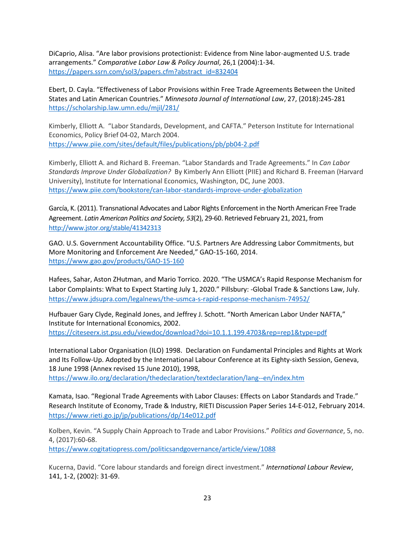DiCaprio, Alisa. "Are labor provisions protectionist: Evidence from Nine labor-augmented U.S. trade arrangements." *Comparative Labor Law & Policy Journal*, 26,1 (2004):1-34. [https://papers.ssrn.com/sol3/papers.cfm?abstract\\_id=832404](https://papers.ssrn.com/sol3/papers.cfm?abstract_id=832404)

Ebert, D. Cayla. "Effectiveness of Labor Provisions within Free Trade Agreements Between the United States and Latin American Countries." *Minnesota Journal of International Law*, 27, (2018):245-281 <https://scholarship.law.umn.edu/mjil/281/>

Kimberly, Elliott A. "Labor Standards, Development, and CAFTA." Peterson Institute for International Economics, Policy Brief 04-02, March 2004. <https://www.piie.com/sites/default/files/publications/pb/pb04-2.pdf>

Kimberly, Elliott A. and Richard B. Freeman. "Labor Standards and Trade Agreements." In *Can Labor Standards Improve Under Globalization?* By Kimberly Ann Elliott (PIIE) and Richard B. Freeman (Harvard University), Institute for International Economics, Washington, DC, June 2003. <https://www.piie.com/bookstore/can-labor-standards-improve-under-globalization>

García, K. (2011). Transnational Advocates and Labor Rights Enforcement in the North American Free Trade Agreement. *Latin American Politics and Society, 53*(2), 29-60. Retrieved February 21, 2021, from <http://www.jstor.org/stable/41342313>

GAO. U.S. Government Accountability Office. "U.S. Partners Are Addressing Labor Commitments, but More Monitoring and Enforcement Are Needed," GAO-15-160, 2014. <https://www.gao.gov/products/GAO-15-160>

Hafees, Sahar, Aston ZHutman, and Mario Torrico. 2020. "The USMCA's Rapid Response Mechanism for Labor Complaints: What to Expect Starting July 1, 2020." Pillsbury: -Global Trade & Sanctions Law, July. <https://www.jdsupra.com/legalnews/the-usmca-s-rapid-response-mechanism-74952/>

Hufbauer Gary Clyde, Reginald Jones, and Jeffrey J. Schott. "North American Labor Under NAFTA," Institute for International Economics, 2002. <https://citeseerx.ist.psu.edu/viewdoc/download?doi=10.1.1.199.4703&rep=rep1&type=pdf>

International Labor Organisation (ILO) 1998. Declaration on Fundamental Principles and Rights at Work and Its Follow-Up. Adopted by the International Labour Conference at its Eighty-sixth Session, Geneva, 18 June 1998 (Annex revised 15 June 2010), 1998, <https://www.ilo.org/declaration/thedeclaration/textdeclaration/lang--en/index.htm>

Kamata, Isao. "Regional Trade Agreements with Labor Clauses: Effects on Labor Standards and Trade." Research Institute of Economy, Trade & Industry, RIETI Discussion Paper Series 14-E-012, February 2014. <https://www.rieti.go.jp/jp/publications/dp/14e012.pdf>

Kolben, Kevin. "A Supply Chain Approach to Trade and Labor Provisions." *Politics and Governance*, 5, no. 4, (2017):60-68.

<https://www.cogitatiopress.com/politicsandgovernance/article/view/1088>

Kucerna, David. "Core labour standards and foreign direct investment." *International Labour Review*, 141, 1-2, (2002): 31-69.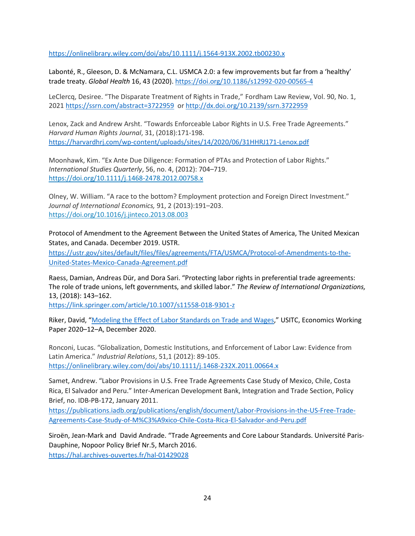<https://onlinelibrary.wiley.com/doi/abs/10.1111/j.1564-913X.2002.tb00230.x>

Labonté, R., Gleeson, D. & McNamara, C.L. USMCA 2.0: a few improvements but far from a 'healthy' trade treaty. *Global Health* 16, 43 (2020)[. https://doi.org/10.1186/s12992-020-00565-4](https://doi.org/10.1186/s12992-020-00565-4) 

LeClercq, Desiree. "The Disparate Treatment of Rights in Trade," Fordham Law Review, Vol. 90, No. 1, 2021 <https://ssrn.com/abstract=3722959>or<http://dx.doi.org/10.2139/ssrn.3722959>

Lenox, Zack and Andrew Arsht. "Towards Enforceable Labor Rights in U.S. Free Trade Agreements." *Harvard Human Rights Journal*, 31, (2018):171-198. <https://harvardhrj.com/wp-content/uploads/sites/14/2020/06/31HHRJ171-Lenox.pdf>

Moonhawk, Kim. "Ex Ante Due Diligence: Formation of PTAs and Protection of Labor Rights." *International Studies Quarterly*, 56, no. 4, (2012): 704–719. <https://doi.org/10.1111/j.1468-2478.2012.00758.x>

Olney, W. William. "A race to the bottom? Employment protection and Foreign Direct Investment." *Journal of International Economics,* 91, 2 (2013):191–203. <https://doi.org/10.1016/j.jinteco.2013.08.003>

Protocol of Amendment to the Agreement Between the United States of America, The United Mexican States, and Canada. December 2019. USTR.

[https://ustr.gov/sites/default/files/files/agreements/FTA/USMCA/Protocol-of-Amendments-to-the-](https://ustr.gov/sites/default/files/files/agreements/FTA/USMCA/Protocol-of-Amendments-to-the-United-States-Mexico-Canada-Agreement.pdf)[United-States-Mexico-Canada-Agreement.pdf](https://ustr.gov/sites/default/files/files/agreements/FTA/USMCA/Protocol-of-Amendments-to-the-United-States-Mexico-Canada-Agreement.pdf) 

Raess, Damian, Andreas Dür, and Dora Sari. "Protecting labor rights in preferential trade agreements: The role of trade unions, left governments, and skilled labor." *The Review of International Organizations,* 13, (2018): 143–162.

<https://link.springer.com/article/10.1007/s11558-018-9301-z>

Riker, David, ["Modeling the Effect of Labor Standards on Trade and Wages,](https://www.usitc.gov/publications/332/working_papers/modeling_the_effects_of_labor_standards_on_trade_and_wages_12-09-20.pdf)" USITC, Economics Working Paper 2020–12–A, December 2020.

Ronconi, Lucas. "Globalization, Domestic Institutions, and Enforcement of Labor Law: Evidence from Latin America." *Industrial Relations*, 51,1 (2012): 89-105. <https://onlinelibrary.wiley.com/doi/abs/10.1111/j.1468-232X.2011.00664.x>

Samet, Andrew. "Labor Provisions in U.S. Free Trade Agreements Case Study of Mexico, Chile, Costa Rica, El Salvador and Peru." Inter-American Development Bank, Integration and Trade Section, Policy Brief, no. IDB-PB-172, January 2011.

[https://publications.iadb.org/publications/english/document/Labor-Provisions-in-the-US-Free-Trade-](https://publications.iadb.org/publications/english/document/Labor-Provisions-in-the-US-Free-Trade-Agreements-Case-Study-of-M%C3%A9xico-Chile-Costa-Rica-El-Salvador-and-Peru.pdf)[Agreements-Case-Study-of-M%C3%A9xico-Chile-Costa-Rica-El-Salvador-and-Peru.pdf](https://publications.iadb.org/publications/english/document/Labor-Provisions-in-the-US-Free-Trade-Agreements-Case-Study-of-M%C3%A9xico-Chile-Costa-Rica-El-Salvador-and-Peru.pdf)

Siroën, Jean-Mark and David Andrade. "Trade Agreements and Core Labour Standards. Université Paris-Dauphine, Nopoor Policy Brief Nr.5, March 2016. <https://hal.archives-ouvertes.fr/hal-01429028>